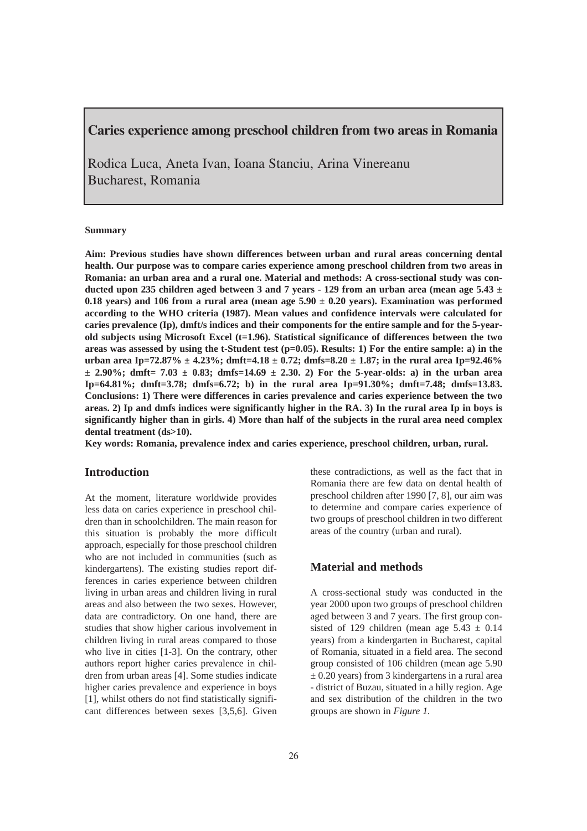# Caries experience among preschool children from two areas in Romania

Rodica Luca, Aneta Ivan, Ioana Stanciu, Arina Vinereanu Bucharest, Romania

#### **Summary**

**Aim: Previous studies have shown differences between urban and rural areas concerning dental health. Our purpose was to compare caries experience among preschool children from two areas in Romania: an urban area and a rural one. Material and methods: A cross-sectional study was conducted upon 235 children aged between 3 and 7 years - 129 from an urban area (mean age 5.43 ± 0.18 years) and 106 from a rural area (mean age 5.90 ± 0.20 years). Examination was performed according to the WHO criteria (1987). Mean values and confidence intervals were calculated for caries prevalence (Ip), dmft/s indices and their components for the entire sample and for the 5-yearold subjects using Microsoft Excel (t=1.96). Statistical significance of differences between the two areas was assessed by using the t-Student test (p=0.05). Results: 1) For the entire sample: a) in the urban area Ip=72.87% ± 4.23%; dmft=4.18 ± 0.72; dmfs=8.20 ± 1.87; in the rural area Ip=92.46%**  $\pm$  2.90%; dmft= 7.03  $\pm$  0.83; dmfs=14.69  $\pm$  2.30. 2) For the 5-year-olds: a) in the urban area **Ip=64.81%; dmft=3.78; dmfs=6.72; b) in the rural area Ip=91.30%; dmft=7.48; dmfs=13.83. Conclusions: 1) There were differences in caries prevalence and caries experience between the two areas. 2) Ip and dmfs indices were significantly higher in the RA. 3) In the rural area Ip in boys is significantly higher than in girls. 4) More than half of the subjects in the rural area need complex dental treatment (ds>10).**

**Key words: Romania, prevalence index and caries experience, preschool children, urban, rural.**

## **Introduction**

At the moment, literature worldwide provides less data on caries experience in preschool children than in schoolchildren. The main reason for this situation is probably the more difficult approach, especially for those preschool children who are not included in communities (such as kindergartens). The existing studies report differences in caries experience between children living in urban areas and children living in rural areas and also between the two sexes. However, data are contradictory. On one hand, there are studies that show higher carious involvement in children living in rural areas compared to those who live in cities [1-3]. On the contrary, other authors report higher caries prevalence in children from urban areas [4]. Some studies indicate higher caries prevalence and experience in boys [1], whilst others do not find statistically significant differences between sexes [3,5,6]. Given

these contradictions, as well as the fact that in Romania there are few data on dental health of preschool children after 1990 [7, 8], our aim was to determine and compare caries experience of two groups of preschool children in two different areas of the country (urban and rural).

#### **Material and methods**

A cross-sectional study was conducted in the year 2000 upon two groups of preschool children aged between 3 and 7 years. The first group consisted of 129 children (mean age  $5.43 \pm 0.14$ ) years) from a kindergarten in Bucharest, capital of Romania, situated in a field area. The second group consisted of 106 children (mean age 5.90  $\pm$  0.20 years) from 3 kindergartens in a rural area - district of Buzau, situated in a hilly region. Age and sex distribution of the children in the two groups are shown in *Figure 1.*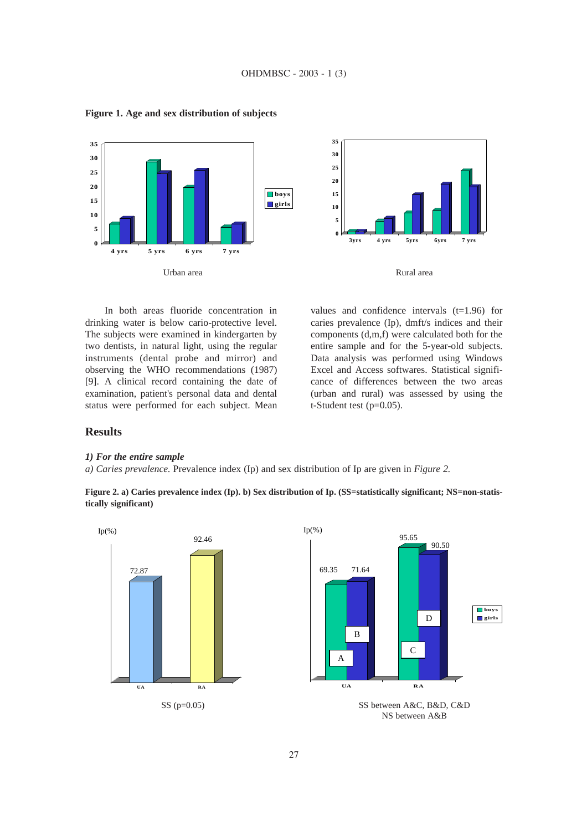

**Figure 1. Age and sex distribution of subjects**





In both areas fluoride concentration in drinking water is below cario-protective level. The subjects were examined in kindergarten by two dentists, in natural light, using the regular instruments (dental probe and mirror) and observing the WHO recommendations (1987) [9]. A clinical record containing the date of examination, patient's personal data and dental status were performed for each subject. Mean

values and confidence intervals  $(t=1.96)$  for caries prevalence (Ip), dmft/s indices and their components (d,m,f) were calculated both for the entire sample and for the 5-year-old subjects. Data analysis was performed using Windows Excel and Access softwares. Statistical significance of differences between the two areas (urban and rural) was assessed by using the t-Student test  $(p=0.05)$ .

### **Results**

#### *1) For the entire sample*

*a) Caries prevalence.* Prevalence index (Ip) and sex distribution of Ip are given in *Figure 2.* 

**Figure 2. a) Caries prevalence index (Ip). b) Sex distribution of Ip. (SS=statistically significant; NS=non-statistically significant)** 





NS between A&B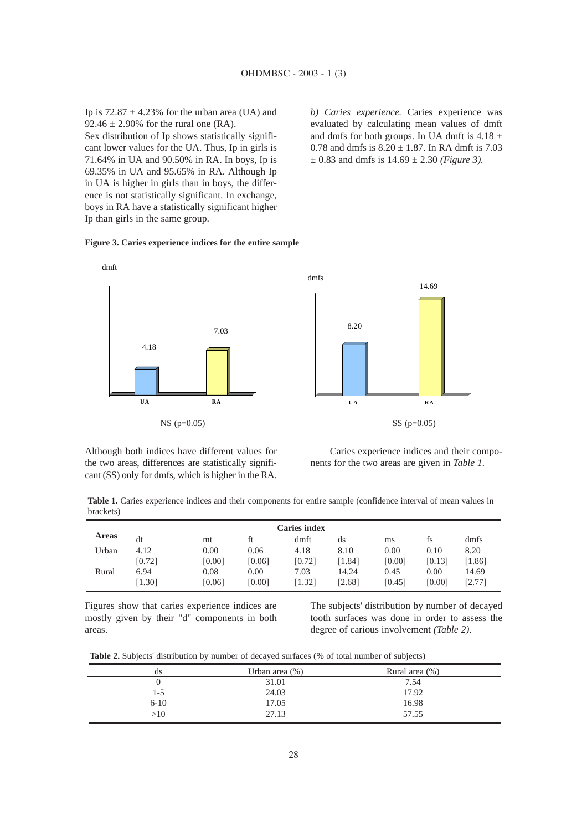Ip is  $72.87 \pm 4.23\%$  for the urban area (UA) and 92.46  $\pm$  2.90% for the rural one (RA). Sex distribution of Ip shows statistically significant lower values for the UA. Thus, Ip in girls is 71.64% in UA and 90.50% in RA. In boys, Ip is 69.35% in UA and 95.65% in RA. Although Ip in UA is higher in girls than in boys, the difference is not statistically significant. In exchange, boys in RA have a statistically significant higher

Ip than girls in the same group.

*b) Caries experience.* Caries experience was evaluated by calculating mean values of dmft and dmfs for both groups. In UA dmft is  $4.18 \pm$ 0.78 and dmfs is  $8.20 \pm 1.87$ . In RA dmft is 7.03  $\pm$  0.83 and dmfs is 14.69  $\pm$  2.30 *(Figure 3)*.

### **Figure 3. Caries experience indices for the entire sample**





Although both indices have different values for the two areas, differences are statistically significant (SS) only for dmfs, which is higher in the RA.

Caries experience indices and their components for the two areas are given in *Table 1.* 

**Table 1.** Caries experience indices and their components for entire sample (confidence interval of mean values in brackets)

| <b>Caries index</b> |        |        |        |        |        |        |        |        |
|---------------------|--------|--------|--------|--------|--------|--------|--------|--------|
| <b>Areas</b>        | dt     | mt     |        | dmft   | ds     | ms     | ts     | dmfs   |
| Urban               | 4.12   | 0.00   | 0.06   | 4.18   | 8.10   | 0.00   | 0.10   | 8.20   |
|                     | [0.72] | [0.00] | [0.06] | [0.72] | 1.841  | [0.00] | [0.13] | [1.86] |
| Rural               | 6.94   | 0.08   | 0.00   | 7.03   | 14.24  | 0.45   | 0.00   | 14.69  |
|                     | [1.30] | [0.06] | [0.00] | [1.32] | [2.68] | [0.45] | [0.00] | [2.77] |

Figures show that caries experience indices are mostly given by their "d" components in both areas.

The subjects' distribution by number of decayed tooth surfaces was done in order to assess the degree of carious involvement *(Table 2).*

**Table 2.** Subjects' distribution by number of decayed surfaces (% of total number of subjects)

| $\cdot$  |                   | $\overline{ }$ |
|----------|-------------------|----------------|
| ds       | Urban area $(\%)$ | Rural area (%) |
|          | 31.01             | 7.54           |
| 1-5      | 24.03             | 17.92          |
| $6 - 10$ | 17.05             | 16.98          |
| >10      | 27.13             | 57.55          |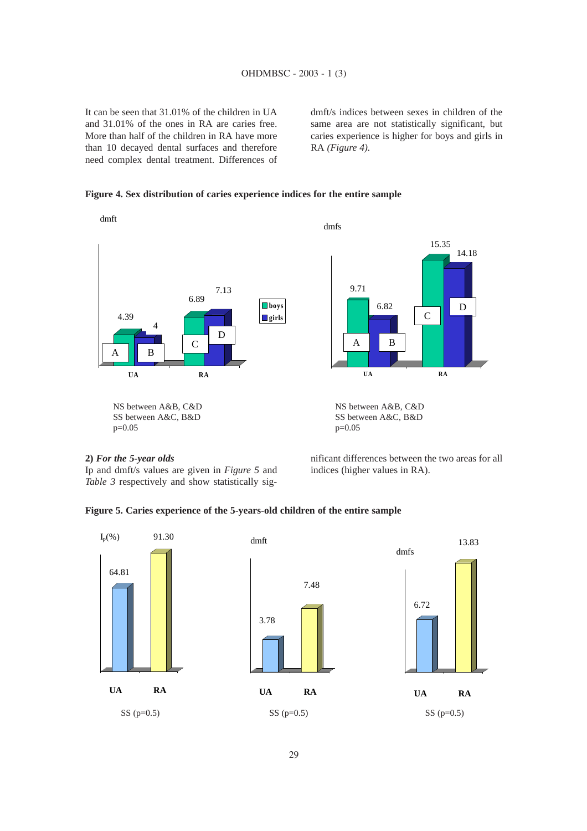It can be seen that 31.01% of the children in UA and 31.01% of the ones in RA are caries free. More than half of the children in RA have more than 10 decayed dental surfaces and therefore need complex dental treatment. Differences of dmft/s indices between sexes in children of the same area are not statistically significant, but caries experience is higher for boys and girls in RA *(Figure 4).*

### **Figure 4. Sex distribution of caries experience indices for the entire sample**





Ip and dmft/s values are given in *Figure 5* and *Table 3* respectively and show statistically significant differences between the two areas for all indices (higher values in RA).

C

15.35

D

14.18

## **Figure 5. Caries experience of the 5-years-old children of the entire sample**

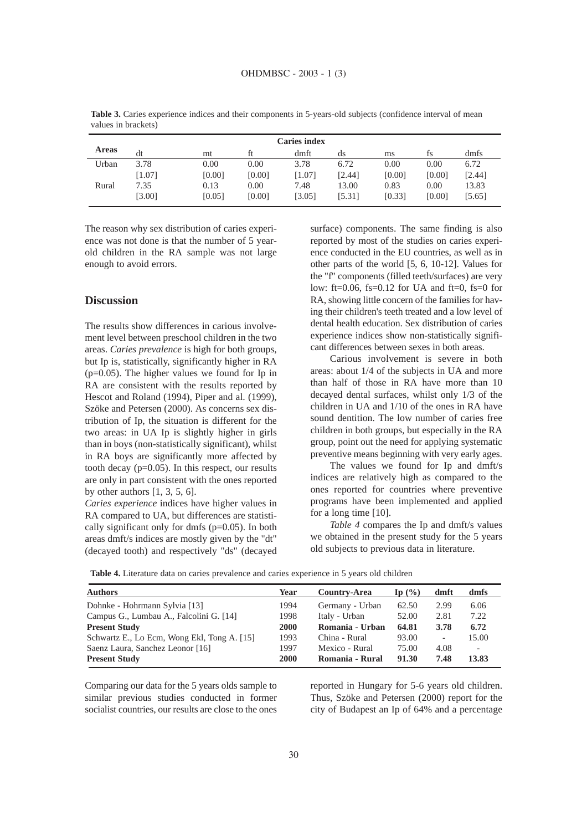| <b>Caries index</b> |          |        |        |        |        |        |        |        |
|---------------------|----------|--------|--------|--------|--------|--------|--------|--------|
| <b>Areas</b>        | dt       | mt     |        | dmft   | ds     | ms     | İS     | dmfs   |
| Urban               | 3.78     | 0.00   | 0.00   | 3.78   | 6.72   | 0.00   | 0.00   | 6.72   |
|                     | $[1.07]$ | [0.00] | [0.00] | [1.07] | [2.44] | [0.00] | [0.00] | [2.44] |
| Rural               | 7.35     | 0.13   | 0.00   | 7.48   | 13.00  | 0.83   | 0.00   | 13.83  |
|                     | [3.00]   | [0.05] | [0.00] | [3.05] | [5.31] | [0.33] | [0.00] | [5.65] |

**Table 3.** Caries experience indices and their components in 5-years-old subjects (confidence interval of mean values in brackets)

The reason why sex distribution of caries experience was not done is that the number of 5 yearold children in the RA sample was not large enough to avoid errors.

#### **Discussion**

The results show differences in carious involvement level between preschool children in the two areas. *Caries prevalence* is high for both groups, but Ip is, statistically, significantly higher in RA (p=0.05). The higher values we found for Ip in RA are consistent with the results reported by Hescot and Roland (1994), Piper and al. (1999), Szöke and Petersen (2000). As concerns sex distribution of Ip, the situation is different for the two areas: in UA Ip is slightly higher in girls than in boys (non-statistically significant), whilst in RA boys are significantly more affected by tooth decay (p=0.05). In this respect, our results are only in part consistent with the ones reported by other authors  $[1, 3, 5, 6]$ .

*Caries experience* indices have higher values in RA compared to UA, but differences are statistically significant only for dmfs (p=0.05). In both areas dmft/s indices are mostly given by the "dt" (decayed tooth) and respectively "ds" (decayed

surface) components. The same finding is also reported by most of the studies on caries experience conducted in the EU countries, as well as in other parts of the world [5, 6, 10-12]. Values for the "f" components (filled teeth/surfaces) are very low: ft=0.06, fs=0.12 for UA and ft=0, fs=0 for RA, showing little concern of the families for having their children's teeth treated and a low level of dental health education. Sex distribution of caries experience indices show non-statistically significant differences between sexes in both areas.

Carious involvement is severe in both areas: about 1/4 of the subjects in UA and more than half of those in RA have more than 10 decayed dental surfaces, whilst only 1/3 of the children in UA and 1/10 of the ones in RA have sound dentition. The low number of caries free children in both groups, but especially in the RA group, point out the need for applying systematic preventive means beginning with very early ages.

The values we found for Ip and dmft/s indices are relatively high as compared to the ones reported for countries where preventive programs have been implemented and applied for a long time [10].

*Table 4* compares the Ip and dmft/s values we obtained in the present study for the 5 years old subjects to previous data in literature.

**Table 4.** Literature data on caries prevalence and caries experience in 5 years old children

| Year        | Country-Area    | Ip $(\% )$ | dmft                     | dmfs                     |
|-------------|-----------------|------------|--------------------------|--------------------------|
| 1994        | Germany - Urban | 62.50      | 2.99                     | 6.06                     |
| 1998        | Italy - Urban   | 52.00      | 2.81                     | 7.22                     |
| <b>2000</b> | Romania - Urban | 64.81      | 3.78                     | 6.72                     |
| 1993        | China - Rural   | 93.00      | $\overline{\phantom{a}}$ | 15.00                    |
| 1997        | Mexico - Rural  | 75.00      | 4.08                     | $\overline{\phantom{0}}$ |
| 2000        | Romania - Rural | 91.30      | 7.48                     | 13.83                    |
|             |                 |            |                          |                          |

Comparing our data for the 5 years olds sample to similar previous studies conducted in former socialist countries, our results are close to the ones

reported in Hungary for 5-6 years old children. Thus, Szöke and Petersen (2000) report for the city of Budapest an Ip of 64% and a percentage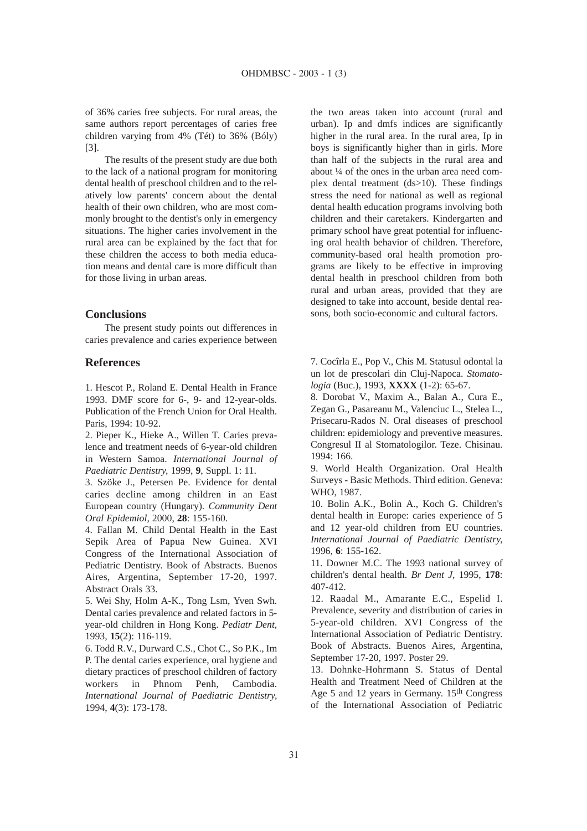of 36% caries free subjects. For rural areas, the same authors report percentages of caries free children varying from 4% (Tét) to 36% (Bóly) [3].

The results of the present study are due both to the lack of a national program for monitoring dental health of preschool children and to the relatively low parents' concern about the dental health of their own children, who are most commonly brought to the dentist's only in emergency situations. The higher caries involvement in the rural area can be explained by the fact that for these children the access to both media education means and dental care is more difficult than for those living in urban areas.

#### **Conclusions**

The present study points out differences in caries prevalence and caries experience between

#### **References**

1. Hescot P., Roland E. Dental Health in France 1993. DMF score for 6-, 9- and 12-year-olds. Publication of the French Union for Oral Health. Paris, 1994: 10-92.

2. Pieper K., Hieke A., Willen T. Caries prevalence and treatment needs of 6-year-old children in Western Samoa. *International Journal of Paediatric Dentistry,* 1999, **9**, Suppl. 1: 11.

3. Szöke J., Petersen Pe. Evidence for dental caries decline among children in an East European country (Hungary). *Community Dent Oral Epidemiol,* 2000, **28**: 155-160.

4. Fallan M. Child Dental Health in the East Sepik Area of Papua New Guinea. XVI Congress of the International Association of Pediatric Dentistry. Book of Abstracts. Buenos Aires, Argentina, September 17-20, 1997. Abstract Orals 33.

5. Wei Shy, Holm A-K., Tong Lsm, Yven Swh. Dental caries prevalence and related factors in 5 year-old children in Hong Kong. *Pediatr Dent,* 1993, **15**(2): 116-119.

6. Todd R.V., Durward C.S., Chot C., So P.K., Im P. The dental caries experience, oral hygiene and dietary practices of preschool children of factory workers in Phnom Penh, Cambodia. *International Journal of Paediatric Dentistry,* 1994, **4**(3): 173-178.

the two areas taken into account (rural and urban). Ip and dmfs indices are significantly higher in the rural area. In the rural area, Ip in boys is significantly higher than in girls. More than half of the subjects in the rural area and about ¼ of the ones in the urban area need complex dental treatment (ds>10). These findings stress the need for national as well as regional dental health education programs involving both children and their caretakers. Kindergarten and primary school have great potential for influencing oral health behavior of children. Therefore, community-based oral health promotion programs are likely to be effective in improving dental health in preschool children from both rural and urban areas, provided that they are designed to take into account, beside dental reasons, both socio-economic and cultural factors.

7. Cocîrla E., Pop V., Chis M. Statusul odontal la un lot de prescolari din Cluj-Napoca. *Stomatologia* (Buc.), 1993, **XXXX** (1-2): 65-67.

8. Dorobat V., Maxim A., Balan A., Cura E., Zegan G., Pasareanu M., Valenciuc L., Stelea L., Prisecaru-Rados N. Oral diseases of preschool children: epidemiology and preventive measures. Congresul II al Stomatologilor. Teze. Chisinau. 1994: 166.

9. World Health Organization. Oral Health Surveys - Basic Methods. Third edition. Geneva: WHO, 1987.

10. Bolin A.K., Bolin A., Koch G. Children's dental health in Europe: caries experience of 5 and 12 year-old children from EU countries. *International Journal of Paediatric Dentistry,* 1996, **6**: 155-162.

11. Downer M.C. The 1993 national survey of children's dental health. *Br Dent J,* 1995, **178**: 407-412.

12. Raadal M., Amarante E.C., Espelid I. Prevalence, severity and distribution of caries in 5-year-old children. XVI Congress of the International Association of Pediatric Dentistry. Book of Abstracts. Buenos Aires, Argentina, September 17-20, 1997. Poster 29.

13. Dohnke-Hohrmann S. Status of Dental Health and Treatment Need of Children at the Age 5 and 12 years in Germany. 15th Congress of the International Association of Pediatric